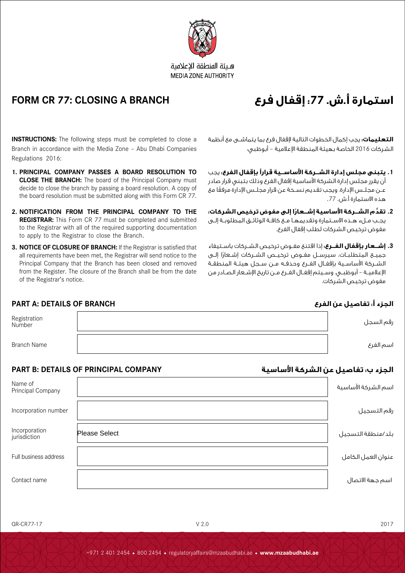

هلئة المنطقة الاعلامية **MEDIA ZONE AUTHORITY** 

# **استمارة أ.ش. :77 إقفال فرع BRANCH A CLOSING 77: CR FORM**

الشركات 2016 الخاصة بهيئة المنطقة اإلعالمية – أبوظبي:

مفوض ترخيص الشركات لطلب إقفال الفرع.

هذه االستمارة أ.ش. .77

مفوض ترخيص الشركات.

**التعليمات:** يجب إكمال الخطوات التالية إلقفال فرع بما يتماشــى مع أنظمة

**.1 يتبنى مجلس إدارة الشــركة األساســية قرارًا بإقفال الفرع:** يجب أن يقرر مجلس إدارة الشركة األساسية إقفال الفرع وذلك بتبني قرار صادر ً عــن مجلــس اإلدارة. ويجب تقديم نســخة عن قرار مجلــس اإلدارة مرفقا مع

**.2 ُّ تقد ً م الشــركة األساسية إشــعارا إلى مفوض ترخيص الشركات:**  يجــب مــلء هــذه االســتمارة وتقديمهــا مــع كافــة الوثائــق المطلوبــة إلــى

**.3 إشــعار بإقفال الفــرع:** إذا اقتنع مفــوض ترخيص الشــركات باســتيفاء جميــــع المتطلبــات، سيرســـل مفــوض ترخيــص الشـــركات إشــعارًا إلــــى الشــركة الأساسـية بإقفـال الفــرع وحذفــه مــن ســجل هيئــة المنطقــة اإلعالميــة – أبوظبــي. وســيتم إقفــال الفــرع مــن تاريخ اإلشــعار الصــادر من

**INSTRUCTIONS:** The following steps must be completed to close a Branch in accordance with the Media Zone – Abu Dhabi Companies Regulations 2016:

- **1. PRINCIPAL COMPANY PASSES A BOARD RESOLUTION TO CLOSE THE BRANCH:** The board of the Principal Company must decide to close the branch by passing a board resolution. A copy of the board resolution must be submitted along with this Form CR 77.
- **2. NOTIFICATION FROM THE PRINCIPAL COMPANY TO THE REGISTRAR:** This Form CR 77 must be completed and submitted to the Registrar with all of the required supporting documentation to apply to the Registrar to close the Branch.
- **3. NOTICE OF CLOSURE OF BRANCH:** If the Registrar is satisfied that all requirements have been met, the Registrar will send notice to the Principal Company that the Branch has been closed and removed from the Register. The closure of the Branch shall be from the date of the Registrar's notice.

### **الجزء أ: تفاصيل عن الفرع BRANCH OF DETAILS :A PART**

| Registration<br>Number | رقم السجل |
|------------------------|-----------|
| <b>Branch Name</b>     | اسم الفرع |

## **الجزء ب: تفاصيل عن الشركة األساسية COMPANY PRINCIPAL OF DETAILS :B PART**

|                               | LANI D. DETAILU VI TINIIVII AL VUIILAILI | ، سرد ب: تفاضيل عن ، تشرب ، دست سيه |
|-------------------------------|------------------------------------------|-------------------------------------|
| Name of<br>Principal Company  |                                          | اسم الشركة الأساسية                 |
| Incorporation number          |                                          | رقم التسجيل                         |
| Incorporation<br>jurisdiction | <b>Please Select</b>                     | بلد/منطقة التسجيل                   |
| Full business address         |                                          | عنوان العمل الكامل                  |
| Contact name                  |                                          | اسم جهة الاتصال                     |

 $OR-CR77-17$  2017